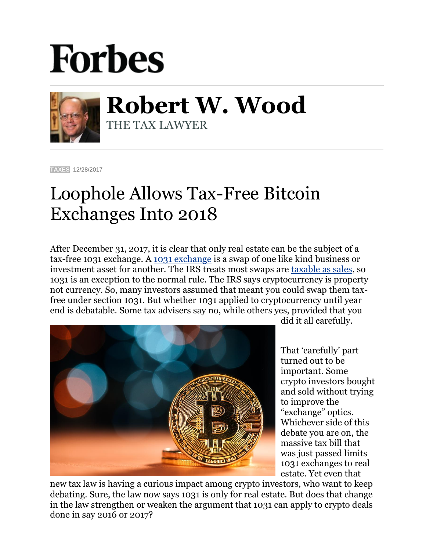## **Forbes**



**Robert W. Wood** THE TAX LAWYER

**[TAXES](https://www.forbes.com/taxes)** 12/28/2017

## Loophole Allows Tax-Free Bitcoin Exchanges Into 2018

After December 31, 2017, it is clear that only real estate can be the subject of a tax-free 1031 exchange. A [1031 exchange](https://www.irs.gov/newsroom/like-kind-exchanges-under-irc-code-section-1031) is a swap of one like kind business or investment asset for another. The IRS treats most swaps are [taxable as sales,](http://www.forbes.com/2009/11/11/irs-tax-barter-exchange-income-personal-finance-wood.html) so 1031 is an exception to the normal rule. The IRS says cryptocurrency is property not currency. So, many investors assumed that meant you could swap them taxfree under section 1031. But whether 1031 applied to cryptocurrency until year end is debatable. Some tax advisers say no, while others yes, provided that you



did it all carefully.

That 'carefully' part turned out to be important. Some crypto investors bought and sold without trying to improve the "exchange" optics. Whichever side of this debate you are on, the massive tax bill that was just passed limits 1031 exchanges to real estate. Yet even that

new tax law is having a curious impact among crypto investors, who want to keep debating. Sure, the law now says 1031 is only for real estate. But does that change in the law strengthen or weaken the argument that 1031 can apply to crypto deals done in say 2016 or 2017?